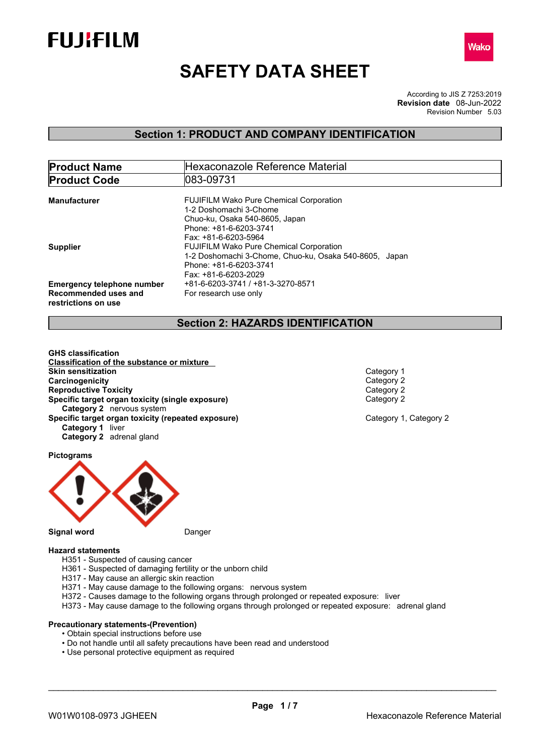



# **SAFETY DATA SHEET**

According to JIS Z 7253:2019 Revision Number 5.03 **Revision date** 08-Jun-2022

### **Section 1: PRODUCT AND COMPANY IDENTIFICATION**

| <b>Product Name</b>               | Hexaconazole Reference Material                        |  |  |
|-----------------------------------|--------------------------------------------------------|--|--|
| <b>Product Code</b>               | 1083-09731                                             |  |  |
|                                   |                                                        |  |  |
| Manufacturer                      | <b>FUJIFILM Wako Pure Chemical Corporation</b>         |  |  |
|                                   | 1-2 Doshomachi 3-Chome                                 |  |  |
|                                   | Chuo-ku, Osaka 540-8605, Japan                         |  |  |
|                                   | Phone: +81-6-6203-3741                                 |  |  |
|                                   | Fax: +81-6-6203-5964                                   |  |  |
| <b>Supplier</b>                   | <b>FUJIFILM Wako Pure Chemical Corporation</b>         |  |  |
|                                   | 1-2 Doshomachi 3-Chome, Chuo-ku, Osaka 540-8605, Japan |  |  |
|                                   | Phone: +81-6-6203-3741                                 |  |  |
|                                   | Fax: +81-6-6203-2029                                   |  |  |
| <b>Emergency telephone number</b> | +81-6-6203-3741 / +81-3-3270-8571                      |  |  |
| Recommended uses and              | For research use only                                  |  |  |
| restrictions on use               |                                                        |  |  |
|                                   |                                                        |  |  |

### **Section 2: HAZARDS IDENTIFICATION**

**GHS classification Classification of the substance or mixture Skin sensitization**<br> **Category 1**<br> **Category 2**<br> **Category 2 Carcinogenicity** Category 2<br> **Category 2**<br> **Category 2**<br>
Category 2 **Reproductive Toxicity Specific target organ toxicity (single exposure)** Category 2 **Category 2** nervous system **Specific target organ toxicity (repeated exposure) Category 1, Category 2 Category 2 Category 1** liver **Category 2** adrenal gland

**Pictograms**

**Signal word** Danger

#### **Hazard statements**

- H351 Suspected of causing cancer
- H361 Suspected of damaging fertility or the unborn child
- H317 May cause an allergic skin reaction
- H371 May cause damage to the following organs: nervous system
- H372 Causes damage to the following organs through prolonged or repeated exposure: liver
- H373 May cause damage to the following organs through prolonged or repeated exposure: adrenal gland

#### **Precautionary statements-(Prevention)**

- Obtain special instructions before use
- Do not handle until all safety precautions have been read and understood
- Use personal protective equipment as required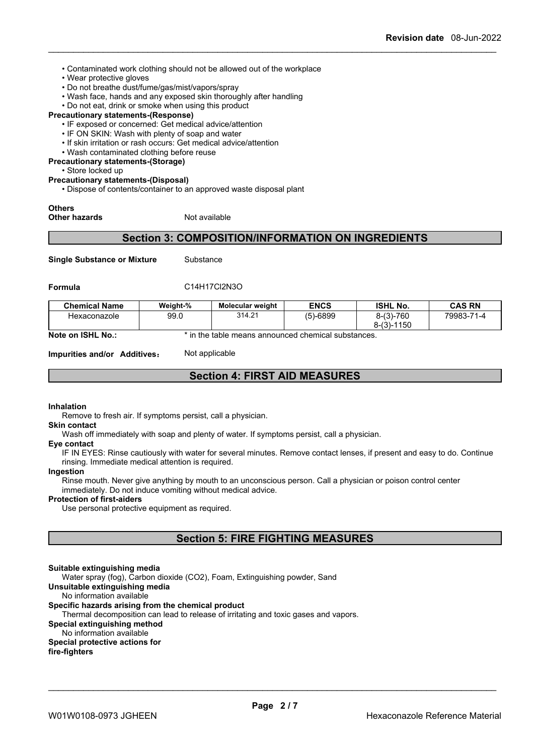- Contaminated work clothing should not be allowed out of the workplace
- Wear protective gloves
- Do not breathe dust/fume/gas/mist/vapors/spray
- Wash face, hands and any exposed skin thoroughly after handling
- Do not eat, drink or smoke when using this product

#### **Precautionary statements-(Response)**

- IF exposed or concerned: Get medical advice/attention
- IF ON SKIN: Wash with plenty of soap and water
- If skin irritation or rash occurs: Get medical advice/attention
- Wash contaminated clothing before reuse

**Precautionary statements-(Storage)**

• Store locked up

#### **Precautionary statements-(Disposal)**

• Dispose of contents/container to an approved waste disposal plant

## **Others**

#### **Other hazards** Not available

### **Section 3: COMPOSITION/INFORMATION ON INGREDIENTS**

**Single Substance or Mixture** Substance

#### **Formula** C14H17Cl2N3O

| <b>Chemical Name</b> | Weight-% | <b>Molecular weight</b> | <b>ENCS</b> | <b>ISHL No.</b>    | <b>CAS RN</b> |
|----------------------|----------|-------------------------|-------------|--------------------|---------------|
| Hexaconazole         | 99.0     | 314.21                  | (5)-6899    | $8-(3)-760$        | 79983-71-4    |
|                      |          |                         |             | -1150<br>$8-(3)-1$ |               |

**Note on ISHL No.:** \* in the table means announced chemical substances.

**Impurities and/or Additives:** Not applicable

### **Section 4: FIRST AID MEASURES**

#### **Inhalation**

Remove to fresh air. If symptoms persist, call a physician.

**Skin contact**

Wash off immediately with soap and plenty of water. If symptoms persist, call a physician.

#### **Eye contact**

IF IN EYES: Rinse cautiously with water for several minutes. Remove contact lenses, if present and easy to do. Continue rinsing. Immediate medical attention is required.

#### **Ingestion**

Rinse mouth. Never give anything by mouth to an unconscious person. Call a physician or poison control center immediately. Do not induce vomiting without medical advice.

#### **Protection of first-aiders**

Use personal protective equipment as required.

### **Section 5: FIRE FIGHTING MEASURES**

#### **Suitable extinguishing media**

Water spray (fog), Carbon dioxide (CO2), Foam, Extinguishing powder, Sand

#### **Unsuitable extinguishing media**

No information available

#### **Specific hazards arising from the chemical product**

Thermal decomposition can lead to release of irritating and toxic gases and vapors.

#### **Special extinguishing method**

No information available

#### **Special protective actions for**

**fire-fighters**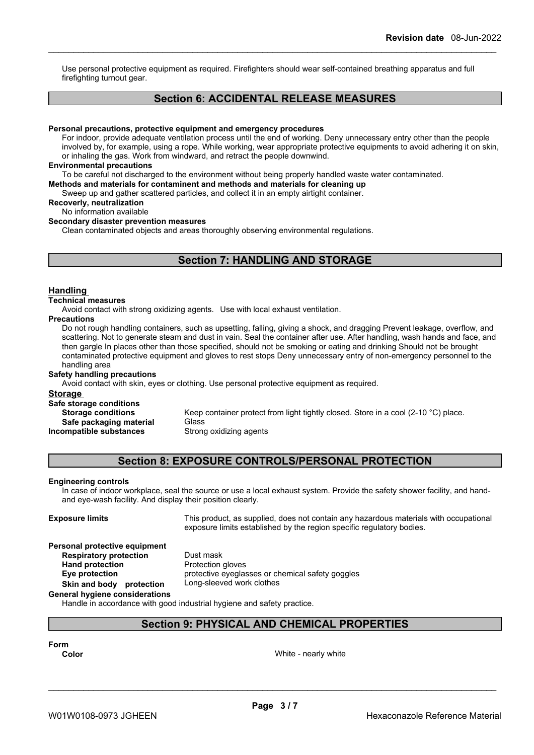Use personal protective equipment as required. Firefighters should wear self-contained breathing apparatus and full firefighting turnout gear.

### **Section 6: ACCIDENTAL RELEASE MEASURES**

#### **Personal precautions, protective equipment and emergency procedures**

For indoor, provide adequate ventilation process until the end of working. Deny unnecessary entry other than the people involved by, for example, using a rope. While working, wear appropriate protective equipments to avoid adhering it on skin, or inhaling the gas. Work from windward, and retract the people downwind.

#### **Environmental precautions**

To be careful not discharged to the environment without being properly handled waste water contaminated.

**Methods and materials for contaminent and methods and materials for cleaning up**

Sweep up and gather scattered particles, and collect it in an empty airtight container.

**Recoverly, neutralization**

### No information available

**Secondary disaster prevention measures**

Clean contaminated objects and areas thoroughly observing environmental regulations.

### **Section 7: HANDLING AND STORAGE**

#### **Handling**

#### **Technical measures**

Avoid contact with strong oxidizing agents. Use with local exhaust ventilation.

#### **Precautions**

Do not rough handling containers, such as upsetting, falling, giving a shock, and dragging Prevent leakage, overflow, and scattering. Not to generate steam and dust in vain. Seal the container after use. After handling, wash hands and face, and then gargle In places other than those specified, should not be smoking or eating and drinking Should not be brought contaminated protective equipment and gloves to rest stops Deny unnecessary entry of non-emergency personnel to the handling area

#### **Safety handling precautions**

Avoid contact with skin, eyes or clothing. Use personal protective equipment as required.

#### **Storage**

**Safe storage conditions Storage conditions** Keep container protect from light tightly closed. Store in a cool (2-10 °C) place. **Safe packaging material** Glass<br>**ompatible substances** Strong oxidizing agents **Incompatible substances** 

### **Section 8: EXPOSURE CONTROLS/PERSONAL PROTECTION**

#### **Engineering controls**

In case of indoor workplace, seal the source or use a local exhaust system. Provide the safety shower facility, and handand eye-wash facility. And display their position clearly.

**Exposure limits** This product, as supplied, does not contain any hazardous materials with occupational exposure limits established by the region specific regulatory bodies.

#### **Personal protective equipment**

**Respiratory protection** Dust mask **Hand protection** Protection gloves

**Eye protection** protective eyeglasses or chemical safety goggles **Skin and body protection** Long-sleeved work clothes

### **General hygiene considerations**

Handle in accordance with good industrial hygiene and safety practice.

### **Section 9: PHYSICAL AND CHEMICAL PROPERTIES**

### **Form**

**Color** White - nearly white white white white white white white white white white white white white white white white white white white white white white white white white white white white white white white white white w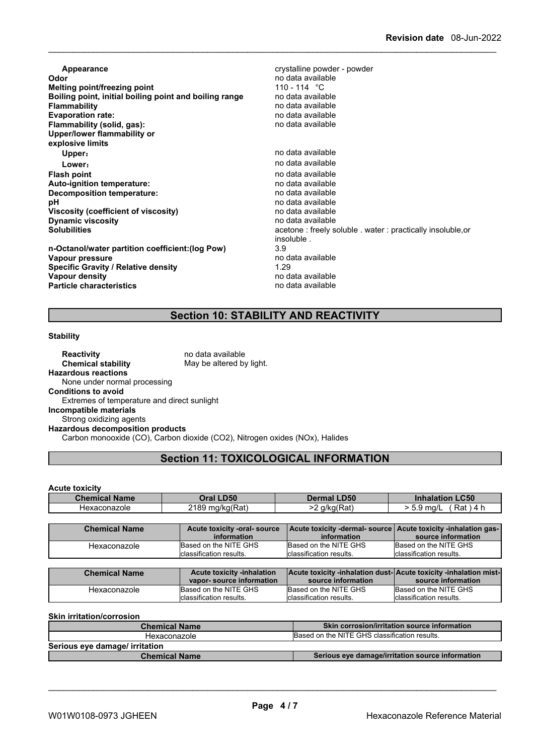**Appearance Contract Appearance** crystalline powder - powder<br> **Odor** crystalline powder - powder - powder - powder - powder - powder - powder - powder - powder - powder - powder no data available<br>110 - 114 °C **Melting point/freezing point Melting point** 110 - 114 °C<br> **Boiling point, initial boiling point and boiling range** and data available **Boiling point, initial boiling point and boiling range<br>Flammability Flammability** no data available **Evaporation rate:** no data available **Flammability** (solid, gas): **Upper/lower flammability or explosive limits Upper:** no data available **Lower**: **Contract and Contract and Contract available** contract and available **Flash point**<br> **Auto-ignition temperature:**<br> **Auto-ignition temperature:**<br> **Auto-ignition temperature: Auto-ignition temperature:**<br> **Decomposition temperature:** Network and the modata available **Decomposition temperature:**<br>pH no data available<br>no data available **Viscosity (coefficient of viscosity)** no data available **Dynamic viscosity**<br>Solubilities acetone : freely soluble . water : practically insoluble,or insoluble . **n-Octanol/water partition coefficient:(log Pow)** 3.9 **Vapour pressure** no data available values of the product of the set of the set of the set of the set of the set o<br>1.29 monotograph in the set of the set of the set of the set of the set of the set of the set of the set of **Specific Gravity / Relative density Vapour density value of the contract of the contract of the contract of the contract of the contract of the contract of the contract of the contract of the contract of the contract of the contract of the contract of the Particle characteristics** no data available

### **Section 10: STABILITY AND REACTIVITY**

#### **Stability**

| <b>Reactivity</b>                           | no data available                                                           |  |
|---------------------------------------------|-----------------------------------------------------------------------------|--|
| <b>Chemical stability</b>                   | May be altered by light.                                                    |  |
| <b>Hazardous reactions</b>                  |                                                                             |  |
| None under normal processing                |                                                                             |  |
| <b>Conditions to avoid</b>                  |                                                                             |  |
| Extremes of temperature and direct sunlight |                                                                             |  |
| Incompatible materials                      |                                                                             |  |
| Strong oxidizing agents                     |                                                                             |  |
| <b>Hazardous decomposition products</b>     |                                                                             |  |
|                                             | Carbon monooxide (CO), Carbon dioxide (CO2), Nitrogen oxides (NOx), Halides |  |

### **Section 11: TOXICOLOGICAL INFORMATION**

**Acute toxicity**

| <b>Name</b><br>Gher<br>amitaa | <b>D50</b><br>Oral | <b>D50</b>                                | C50<br>ınnaıa                   |
|-------------------------------|--------------------|-------------------------------------------|---------------------------------|
| Hexaconazole                  | 010c<br>ma/ka(Rat) | $(D_{\mathbf{A}})$<br>a/ka(<br>'Ral,<br>- | ∔∼⊏<br>ma/L<br>. .<br>ιπα<br>ັ. |

| <b>Chemical Name</b> | Acute toxicity -inhalation | <b>Acute toxicity -inhalation dust-Acute toxicity -inhalation mist-</b> |                          |
|----------------------|----------------------------|-------------------------------------------------------------------------|--------------------------|
|                      | vapor-source information   | source information                                                      | source information       |
| Hexaconazole         | Based on the NITE GHS      | Based on the NITE GHS                                                   | Based on the NITE GHS    |
|                      | Iclassification results.   | Iclassification results.                                                | lclassification results. |

**Skin irritation/corrosion**

| <b>Chemical Name</b>           | <b>Skin corrosion/irritation source information</b> |
|--------------------------------|-----------------------------------------------------|
| Hexaconazole                   | Based on the NITE GHS classification results.       |
| Serious eye damage/ irritation |                                                     |
| <b>Chemical Name</b>           | Serious eye damage/irritation source information    |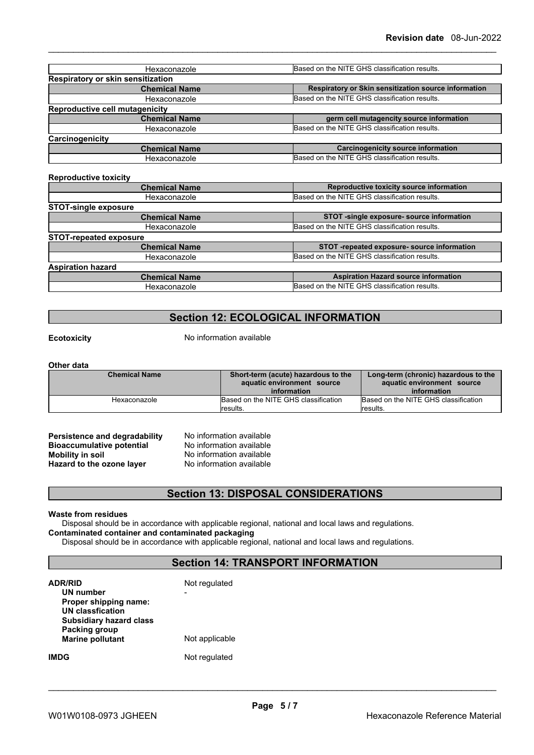| Hexaconazole                                         | Based on the NITE GHS classification results.        |
|------------------------------------------------------|------------------------------------------------------|
| Respiratory or skin sensitization                    |                                                      |
| <b>Chemical Name</b>                                 | Respiratory or Skin sensitization source information |
| Hexaconazole                                         | Based on the NITE GHS classification results.        |
| <b>Reproductive cell mutagenicity</b>                |                                                      |
| <b>Chemical Name</b>                                 | germ cell mutagencity source information             |
| Hexaconazole                                         | Based on the NITE GHS classification results.        |
| Carcinogenicity                                      |                                                      |
| <b>Chemical Name</b>                                 | <b>Carcinogenicity source information</b>            |
| Hexaconazole                                         | Based on the NITE GHS classification results.        |
| <b>Reproductive toxicity</b><br><b>Chemical Name</b> | Reproductive toxicity source information             |
| Hexaconazole                                         | Based on the NITE GHS classification results.        |
| <b>STOT-single exposure</b>                          |                                                      |
| <b>Chemical Name</b>                                 | STOT -single exposure- source information            |
| Hexaconazole                                         | Based on the NITE GHS classification results.        |
| <b>STOT-repeated exposure</b>                        |                                                      |
| <b>Chemical Name</b>                                 | STOT -repeated exposure- source information          |
| Hexaconazole                                         | Based on the NITE GHS classification results.        |
| <b>Aspiration hazard</b>                             |                                                      |
| <b>Chemical Name</b>                                 | <b>Aspiration Hazard source information</b>          |

### **Section 12: ECOLOGICAL INFORMATION**

Hexaconazole **Based on the NITE GHS classification results.** 

**Ecotoxicity** No information available

#### **Other data**

| <b>Chemical Name</b> | Short-term (acute) hazardous to the<br>aquatic environment source<br>information | Long-term (chronic) hazardous to the<br>aquatic environment source<br>information |
|----------------------|----------------------------------------------------------------------------------|-----------------------------------------------------------------------------------|
| Hexaconazole         | Based on the NITE GHS classification                                             | Based on the NITE GHS classification                                              |
|                      | <i><b>Iresults.</b></i>                                                          | results.                                                                          |

**Persistence and degradability** No information available<br>**Bioaccumulative potential** No information available **Bioaccumulative potential<br>Mobility in soil Hazard** to the ozone layer

No information available<br>No information available

### **Section 13: DISPOSAL CONSIDERATIONS**

#### **Waste from residues**

Disposal should be in accordance with applicable regional, national and local laws and regulations. **Contaminated container and contaminated packaging**

Disposal should be in accordance with applicable regional, national and local laws and regulations.

### **Section 14: TRANSPORT INFORMATION**

| <b>ADR/RID</b><br>UN number<br>Proper shipping name:<br><b>UN classfication</b><br>Subsidiary hazard class | Not regulated  |
|------------------------------------------------------------------------------------------------------------|----------------|
| Packing group<br><b>Marine pollutant</b>                                                                   | Not applicable |
| IMDG                                                                                                       | Not regulated  |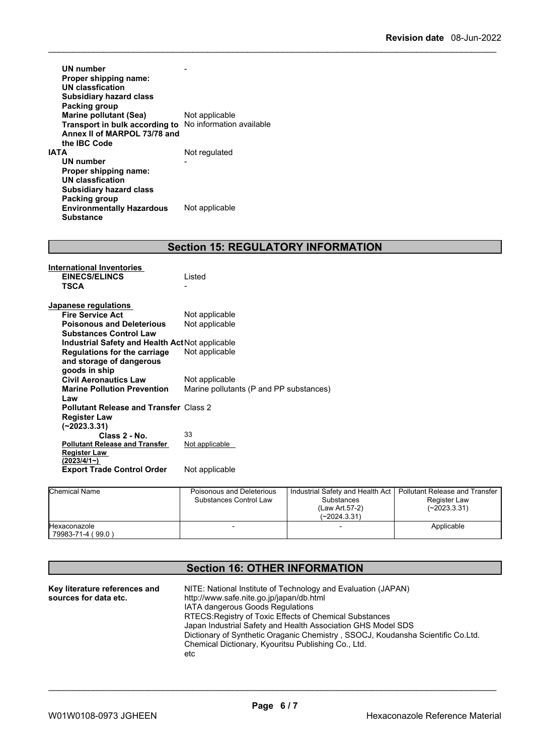| UN number<br>Proper shipping name:<br>UN classfication<br><b>Subsidiary hazard class</b><br>Packing group |                          |
|-----------------------------------------------------------------------------------------------------------|--------------------------|
| <b>Marine pollutant (Sea)</b>                                                                             | Not applicable           |
| Transport in bulk according to                                                                            | No information available |
| Annex II of MARPOL 73/78 and                                                                              |                          |
| the IBC Code                                                                                              |                          |
| IATA                                                                                                      | Not regulated            |
| UN number                                                                                                 |                          |
| Proper shipping name:                                                                                     |                          |
| <b>UN classfication</b>                                                                                   |                          |
| <b>Subsidiary hazard class</b>                                                                            |                          |
| Packing group                                                                                             |                          |
| <b>Environmentally Hazardous</b>                                                                          | Not applicable           |
| <b>Substance</b>                                                                                          |                          |

## **Section 15: REGULATORY INFORMATION**

| International Inventories<br><b>EINECS/ELINCS</b><br><b>TSCA</b> | Listed                                  |
|------------------------------------------------------------------|-----------------------------------------|
| Japanese regulations                                             |                                         |
| <b>Fire Service Act</b>                                          | Not applicable                          |
| <b>Poisonous and Deleterious</b>                                 | Not applicable                          |
| <b>Substances Control Law</b>                                    |                                         |
| <b>Industrial Safety and Health Act Not applicable</b>           |                                         |
| <b>Regulations for the carriage</b>                              | Not applicable                          |
| and storage of dangerous                                         |                                         |
| goods in ship                                                    |                                         |
| <b>Civil Aeronautics Law</b>                                     | Not applicable                          |
| <b>Marine Pollution Prevention</b>                               | Marine pollutants (P and PP substances) |
| Law                                                              |                                         |
| <b>Pollutant Release and Transfer Class 2</b>                    |                                         |
| <b>Register Law</b>                                              |                                         |
| $(-2023.3.31)$                                                   |                                         |
| Class 2 - No.                                                    | 33                                      |
| <b>Pollutant Release and Transfer</b>                            | Not applicable                          |
| <b>Register Law</b><br>(2023/4/1~)                               |                                         |
| <b>Export Trade Control Order</b>                                | Not applicable                          |

| <b>Chemical Name</b>                     | Poisonous and Deleterious<br>Substances Control Law | Industrial Safety and Health Act  <br><b>Substances</b><br>(Law Art 57-2)<br>$(-2024.3.31)$ | I Pollutant Release and Transfer<br>Register Law<br>(~2023.3.31) |
|------------------------------------------|-----------------------------------------------------|---------------------------------------------------------------------------------------------|------------------------------------------------------------------|
| <b>Hexaconazole</b><br>79983-71-4 (99.0) |                                                     |                                                                                             | Applicable                                                       |

### **Section 16: OTHER INFORMATION**

| Key literature references and | NITE: National Institute of Technology and Evaluation (JAPAN)                   |  |  |
|-------------------------------|---------------------------------------------------------------------------------|--|--|
| sources for data etc.         | http://www.safe.nite.go.jp/japan/db.html                                        |  |  |
|                               | <b>IATA dangerous Goods Regulations</b>                                         |  |  |
|                               | RTECS: Registry of Toxic Effects of Chemical Substances                         |  |  |
|                               | Japan Industrial Safety and Health Association GHS Model SDS                    |  |  |
|                               | Dictionary of Synthetic Oraganic Chemistry, SSOCJ, Koudansha Scientific Co.Ltd. |  |  |
|                               | Chemical Dictionary, Kyouritsu Publishing Co., Ltd.                             |  |  |
|                               | etc                                                                             |  |  |